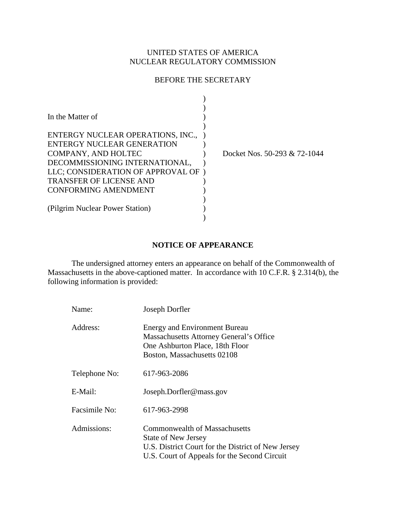# UNITED STATES OF AMERICA NUCLEAR REGULATORY COMMISSION

## BEFORE THE SECRETARY

| In the Matter of<br>ENTERGY NUCLEAR OPERATIONS, INC.,<br>ENTERGY NUCLEAR GENERATION                                                                   |                              |
|-------------------------------------------------------------------------------------------------------------------------------------------------------|------------------------------|
| COMPANY, AND HOLTEC<br>DECOMMISSIONING INTERNATIONAL,<br>LLC; CONSIDERATION OF APPROVAL OF)<br><b>TRANSFER OF LICENSE AND</b><br>CONFORMING AMENDMENT | Docket Nos. 50-293 & 72-1044 |
| (Pilgrim Nuclear Power Station)                                                                                                                       |                              |

#### **NOTICE OF APPEARANCE**

The undersigned attorney enters an appearance on behalf of the Commonwealth of Massachusetts in the above-captioned matter. In accordance with 10 C.F.R. § 2.314(b), the following information is provided:

| Name:         | Joseph Dorfler                                                                                                                                                    |
|---------------|-------------------------------------------------------------------------------------------------------------------------------------------------------------------|
| Address:      | <b>Energy and Environment Bureau</b><br>Massachusetts Attorney General's Office<br>One Ashburton Place, 18th Floor<br>Boston, Massachusetts 02108                 |
| Telephone No: | 617-963-2086                                                                                                                                                      |
| E-Mail:       | Joseph.Dorfler@mass.gov                                                                                                                                           |
| Facsimile No: | 617-963-2998                                                                                                                                                      |
| Admissions:   | Commonwealth of Massachusetts<br><b>State of New Jersey</b><br>U.S. District Court for the District of New Jersey<br>U.S. Court of Appeals for the Second Circuit |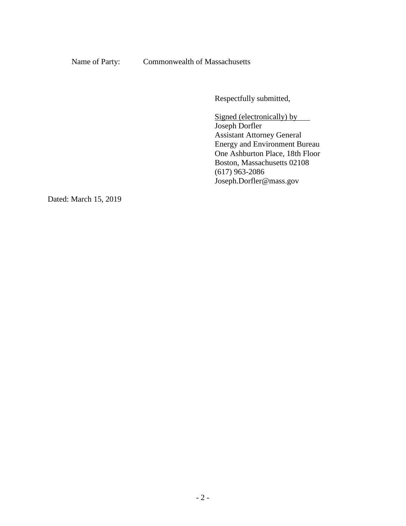Name of Party: Commonwealth of Massachusetts

Respectfully submitted,

Signed (electronically) by Joseph Dorfler Assistant Attorney General Energy and Environment Bureau One Ashburton Place, 18th Floor Boston, Massachusetts 02108 (617) 963-2086 Joseph.Dorfler@mass.gov

Dated: March 15, 2019